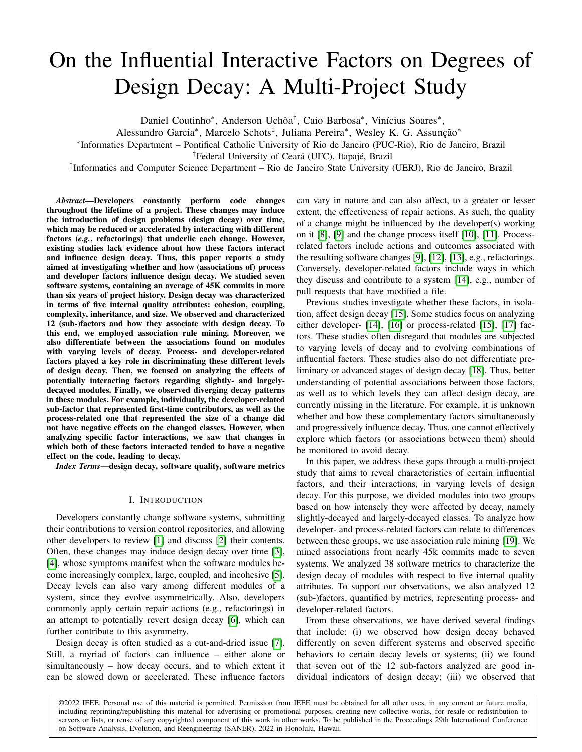# On the Influential Interactive Factors on Degrees of Design Decay: A Multi-Project Study

Daniel Coutinho\*, Anderson Uchôa<sup>†</sup>, Caio Barbosa\*, Vinícius Soares\*,

Alessandro Garcia\*, Marcelo Schots<sup>‡</sup>, Juliana Pereira\*, Wesley K. G. Assunção\*

∗ Informatics Department – Pontifical Catholic University of Rio de Janeiro (PUC-Rio), Rio de Janeiro, Brazil

<sup>†</sup>Federal University of Ceará (UFC), Itapajé, Brazil

‡ Informatics and Computer Science Department – Rio de Janeiro State University (UERJ), Rio de Janeiro, Brazil

*Abstract*—Developers constantly perform code changes throughout the lifetime of a project. These changes may induce the introduction of design problems (design decay) over time, which may be reduced or accelerated by interacting with different factors (*e.g.*, refactorings) that underlie each change. However, existing studies lack evidence about how these factors interact and influence design decay. Thus, this paper reports a study aimed at investigating whether and how (associations of) process and developer factors influence design decay. We studied seven software systems, containing an average of 45K commits in more than six years of project history. Design decay was characterized in terms of five internal quality attributes: cohesion, coupling, complexity, inheritance, and size. We observed and characterized 12 (sub-)factors and how they associate with design decay. To this end, we employed association rule mining. Moreover, we also differentiate between the associations found on modules with varying levels of decay. Process- and developer-related factors played a key role in discriminating these different levels of design decay. Then, we focused on analyzing the effects of potentially interacting factors regarding slightly- and largelydecayed modules. Finally, we observed diverging decay patterns in these modules. For example, individually, the developer-related sub-factor that represented first-time contributors, as well as the process-related one that represented the size of a change did not have negative effects on the changed classes. However, when analyzing specific factor interactions, we saw that changes in which both of these factors interacted tended to have a negative effect on the code, leading to decay.

*Index Terms*—design decay, software quality, software metrics

#### I. INTRODUCTION

Developers constantly change software systems, submitting their contributions to version control repositories, and allowing other developers to review [\[1\]](#page-10-0) and discuss [\[2\]](#page-10-1) their contents. Often, these changes may induce design decay over time [\[3\]](#page-10-2), [\[4\]](#page-10-3), whose symptoms manifest when the software modules become increasingly complex, large, coupled, and incohesive [\[5\]](#page-10-4). Decay levels can also vary among different modules of a system, since they evolve asymmetrically. Also, developers commonly apply certain repair actions (e.g., refactorings) in an attempt to potentially revert design decay [\[6\]](#page-10-5), which can further contribute to this asymmetry.

Design decay is often studied as a cut-and-dried issue [\[7\]](#page-10-6). Still, a myriad of factors can influence – either alone or simultaneously – how decay occurs, and to which extent it can be slowed down or accelerated. These influence factors

can vary in nature and can also affect, to a greater or lesser extent, the effectiveness of repair actions. As such, the quality of a change might be influenced by the developer(s) working on it [\[8\]](#page-10-7), [\[9\]](#page-10-8) and the change process itself [\[10\]](#page-10-9), [\[11\]](#page-10-10). Processrelated factors include actions and outcomes associated with the resulting software changes [\[9\]](#page-10-8), [\[12\]](#page-10-11), [\[13\]](#page-10-12), e.g., refactorings. Conversely, developer-related factors include ways in which they discuss and contribute to a system [\[14\]](#page-10-13), e.g., number of pull requests that have modified a file.

Previous studies investigate whether these factors, in isolation, affect design decay [\[15\]](#page-10-14). Some studies focus on analyzing either developer- [\[14\]](#page-10-13), [\[16\]](#page-10-15) or process-related [\[15\]](#page-10-14), [\[17\]](#page-10-16) factors. These studies often disregard that modules are subjected to varying levels of decay and to evolving combinations of influential factors. These studies also do not differentiate preliminary or advanced stages of design decay [\[18\]](#page-10-17). Thus, better understanding of potential associations between those factors, as well as to which levels they can affect design decay, are currently missing in the literature. For example, it is unknown whether and how these complementary factors simultaneously and progressively influence decay. Thus, one cannot effectively explore which factors (or associations between them) should be monitored to avoid decay.

In this paper, we address these gaps through a multi-project study that aims to reveal characteristics of certain influential factors, and their interactions, in varying levels of design decay. For this purpose, we divided modules into two groups based on how intensely they were affected by decay, namely slightly-decayed and largely-decayed classes. To analyze how developer- and process-related factors can relate to differences between these groups, we use association rule mining [\[19\]](#page-10-18). We mined associations from nearly 45k commits made to seven systems. We analyzed 38 software metrics to characterize the design decay of modules with respect to five internal quality attributes. To support our observations, we also analyzed 12 (sub-)factors, quantified by metrics, representing process- and developer-related factors.

From these observations, we have derived several findings that include: (i) we observed how design decay behaved differently on seven different systems and observed specific behaviors to certain decay levels or systems; (ii) we found that seven out of the 12 sub-factors analyzed are good individual indicators of design decay; (iii) we observed that

©2022 IEEE. Personal use of this material is permitted. Permission from IEEE must be obtained for all other uses, in any current or future media, including reprinting/republishing this material for advertising or promotional purposes, creating new collective works, for resale or redistribution to servers or lists, or reuse of any copyrighted component of this work in other works. To be published in the Proceedings 29th International Conference on Software Analysis, Evolution, and Reengineering (SANER), 2022 in Honolulu, Hawaii.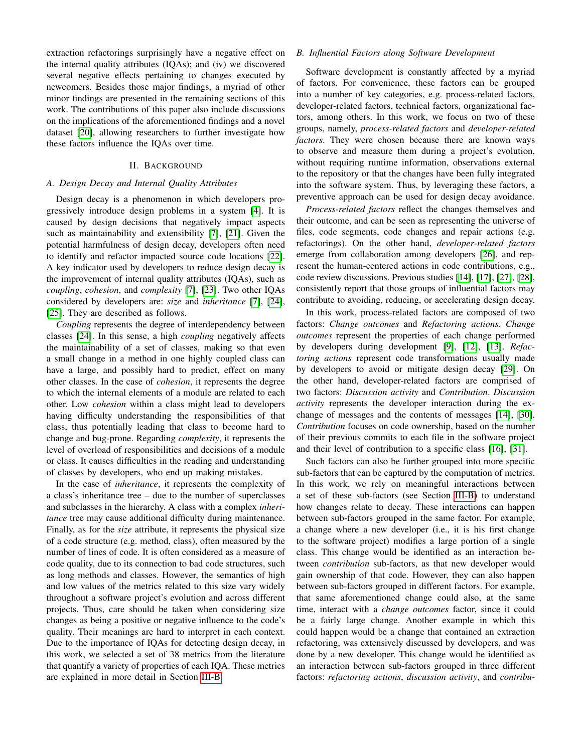extraction refactorings surprisingly have a negative effect on the internal quality attributes (IQAs); and (iv) we discovered several negative effects pertaining to changes executed by newcomers. Besides those major findings, a myriad of other minor findings are presented in the remaining sections of this work. The contributions of this paper also include discussions on the implications of the aforementioned findings and a novel dataset [\[20\]](#page-10-19), allowing researchers to further investigate how these factors influence the IQAs over time.

#### II. BACKGROUND

# *A. Design Decay and Internal Quality Attributes*

Design decay is a phenomenon in which developers progressively introduce design problems in a system [\[4\]](#page-10-3). It is caused by design decisions that negatively impact aspects such as maintainability and extensibility [\[7\]](#page-10-6), [\[21\]](#page-10-20). Given the potential harmfulness of design decay, developers often need to identify and refactor impacted source code locations [\[22\]](#page-10-21). A key indicator used by developers to reduce design decay is the improvement of internal quality attributes (IQAs), such as *coupling*, *cohesion*, and *complexity* [\[7\]](#page-10-6), [\[23\]](#page-10-22). Two other IQAs considered by developers are: *size* and *inheritance* [\[7\]](#page-10-6), [\[24\]](#page-10-23), [\[25\]](#page-10-24). They are described as follows.

*Coupling* represents the degree of interdependency between classes [\[24\]](#page-10-23). In this sense, a high *coupling* negatively affects the maintainability of a set of classes, making so that even a small change in a method in one highly coupled class can have a large, and possibly hard to predict, effect on many other classes. In the case of *cohesion*, it represents the degree to which the internal elements of a module are related to each other. Low *cohesion* within a class might lead to developers having difficulty understanding the responsibilities of that class, thus potentially leading that class to become hard to change and bug-prone. Regarding *complexity*, it represents the level of overload of responsibilities and decisions of a module or class. It causes difficulties in the reading and understanding of classes by developers, who end up making mistakes.

In the case of *inheritance*, it represents the complexity of a class's inheritance tree – due to the number of superclasses and subclasses in the hierarchy. A class with a complex *inheritance* tree may cause additional difficulty during maintenance. Finally, as for the *size* attribute, it represents the physical size of a code structure (e.g. method, class), often measured by the number of lines of code. It is often considered as a measure of code quality, due to its connection to bad code structures, such as long methods and classes. However, the semantics of high and low values of the metrics related to this size vary widely throughout a software project's evolution and across different projects. Thus, care should be taken when considering size changes as being a positive or negative influence to the code's quality. Their meanings are hard to interpret in each context. Due to the importance of IQAs for detecting design decay, in this work, we selected a set of 38 metrics from the literature that quantify a variety of properties of each IQA. These metrics are explained in more detail in Section [III-B.](#page-2-0)

# <span id="page-1-0"></span>*B. Influential Factors along Software Development*

Software development is constantly affected by a myriad of factors. For convenience, these factors can be grouped into a number of key categories, e.g. process-related factors, developer-related factors, technical factors, organizational factors, among others. In this work, we focus on two of these groups, namely, *process-related factors* and *developer-related factors*. They were chosen because there are known ways to observe and measure them during a project's evolution, without requiring runtime information, observations external to the repository or that the changes have been fully integrated into the software system. Thus, by leveraging these factors, a preventive approach can be used for design decay avoidance.

*Process-related factors* reflect the changes themselves and their outcome, and can be seen as representing the universe of files, code segments, code changes and repair actions (e.g. refactorings). On the other hand, *developer-related factors* emerge from collaboration among developers [\[26\]](#page-10-25), and represent the human-centered actions in code contributions, e.g., code review discussions. Previous studies [\[14\]](#page-10-13), [\[17\]](#page-10-16), [\[27\]](#page-10-26), [\[28\]](#page-10-27), consistently report that those groups of influential factors may contribute to avoiding, reducing, or accelerating design decay.

In this work, process-related factors are composed of two factors: *Change outcomes* and *Refactoring actions*. *Change outcomes* represent the properties of each change performed by developers during development [\[9\]](#page-10-8), [\[12\]](#page-10-11), [\[13\]](#page-10-12). *Refactoring actions* represent code transformations usually made by developers to avoid or mitigate design decay [\[29\]](#page-10-28). On the other hand, developer-related factors are comprised of two factors: *Discussion activity* and *Contribution*. *Discussion activity* represents the developer interaction during the exchange of messages and the contents of messages [\[14\]](#page-10-13), [\[30\]](#page-10-29). *Contribution* focuses on code ownership, based on the number of their previous commits to each file in the software project and their level of contribution to a specific class [\[16\]](#page-10-15), [\[31\]](#page-10-30).

Such factors can also be further grouped into more specific sub-factors that can be captured by the computation of metrics. In this work, we rely on meaningful interactions between a set of these sub-factors (see Section [III-B\)](#page-2-0) to understand how changes relate to decay. These interactions can happen between sub-factors grouped in the same factor. For example, a change where a new developer (i.e., it is his first change to the software project) modifies a large portion of a single class. This change would be identified as an interaction between *contribution* sub-factors, as that new developer would gain ownership of that code. However, they can also happen between sub-factors grouped in different factors. For example, that same aforementioned change could also, at the same time, interact with a *change outcomes* factor, since it could be a fairly large change. Another example in which this could happen would be a change that contained an extraction refactoring, was extensively discussed by developers, and was done by a new developer. This change would be identified as an interaction between sub-factors grouped in three different factors: *refactoring actions*, *discussion activity*, and *contribu-*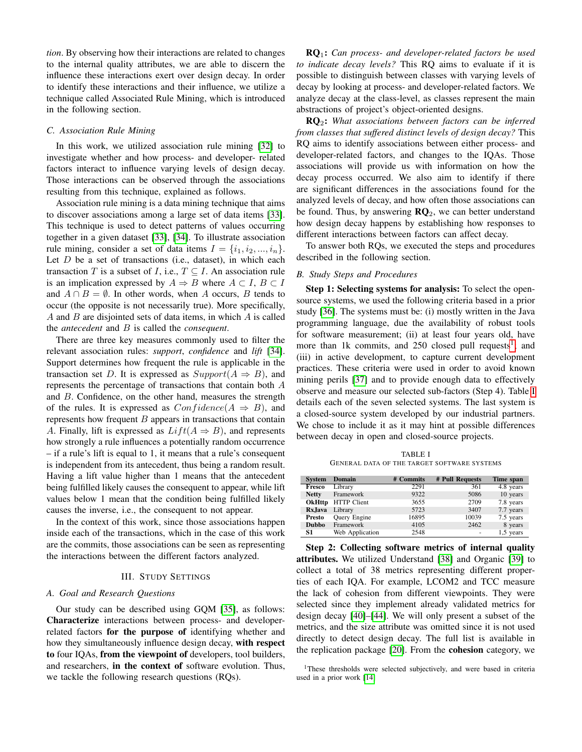*tion*. By observing how their interactions are related to changes to the internal quality attributes, we are able to discern the influence these interactions exert over design decay. In order to identify these interactions and their influence, we utilize a technique called Associated Rule Mining, which is introduced in the following section.

# <span id="page-2-3"></span>*C. Association Rule Mining*

In this work, we utilized association rule mining [\[32\]](#page-10-31) to investigate whether and how process- and developer- related factors interact to influence varying levels of design decay. Those interactions can be observed through the associations resulting from this technique, explained as follows.

Association rule mining is a data mining technique that aims to discover associations among a large set of data items [\[33\]](#page-10-32). This technique is used to detect patterns of values occurring together in a given dataset [\[33\]](#page-10-32), [\[34\]](#page-10-33). To illustrate association rule mining, consider a set of data items  $I = \{i_1, i_2, ..., i_n\}$ . Let  $D$  be a set of transactions (i.e., dataset), in which each transaction T is a subset of I, i.e.,  $T \subseteq I$ . An association rule is an implication expressed by  $A \Rightarrow B$  where  $A \subset I$ ,  $B \subset I$ and  $A \cap B = \emptyset$ . In other words, when A occurs, B tends to occur (the opposite is not necessarily true). More specifically,  $A$  and  $B$  are disjointed sets of data items, in which  $A$  is called the *antecedent* and B is called the *consequent*.

There are three key measures commonly used to filter the relevant association rules: *support*, *confidence* and *lift* [\[34\]](#page-10-33). Support determines how frequent the rule is applicable in the transaction set D. It is expressed as  $Support(A \Rightarrow B)$ , and represents the percentage of transactions that contain both A and B. Confidence, on the other hand, measures the strength of the rules. It is expressed as  $Confidence(A \Rightarrow B)$ , and represents how frequent  $B$  appears in transactions that contain A. Finally, lift is expressed as  $Lift(A \Rightarrow B)$ , and represents how strongly a rule influences a potentially random occurrence – if a rule's lift is equal to 1, it means that a rule's consequent is independent from its antecedent, thus being a random result. Having a lift value higher than 1 means that the antecedent being fulfilled likely causes the consequent to appear, while lift values below 1 mean that the condition being fulfilled likely causes the inverse, i.e., the consequent to not appear.

In the context of this work, since those associations happen inside each of the transactions, which in the case of this work are the commits, those associations can be seen as representing the interactions between the different factors analyzed.

#### III. STUDY SETTINGS

# <span id="page-2-4"></span>*A. Goal and Research Questions*

Our study can be described using GQM [\[35\]](#page-10-34), as follows: Characterize interactions between process- and developerrelated factors for the purpose of identifying whether and how they simultaneously influence design decay, with respect to four IQAs, from the viewpoint of developers, tool builders, and researchers, in the context of software evolution. Thus, we tackle the following research questions (RQs).

RQ1: *Can process- and developer-related factors be used to indicate decay levels?* This RQ aims to evaluate if it is possible to distinguish between classes with varying levels of decay by looking at process- and developer-related factors. We analyze decay at the class-level, as classes represent the main abstractions of project's object-oriented designs.

RQ2: *What associations between factors can be inferred from classes that suffered distinct levels of design decay?* This RQ aims to identify associations between either process- and developer-related factors, and changes to the IQAs. Those associations will provide us with information on how the decay process occurred. We also aim to identify if there are significant differences in the associations found for the analyzed levels of decay, and how often those associations can be found. Thus, by answering  $\mathbf{R}\mathbf{Q}_2$ , we can better understand how design decay happens by establishing how responses to different interactions between factors can affect decay.

To answer both RQs, we executed the steps and procedures described in the following section.

#### <span id="page-2-0"></span>*B. Study Steps and Procedures*

Step 1: Selecting systems for analysis: To select the opensource systems, we used the following criteria based in a prior study [\[36\]](#page-10-35). The systems must be: (i) mostly written in the Java programming language, due the availability of robust tools for software measurement; (ii) at least four years old, have more than [1](#page-2-1)k commits, and 250 closed pull requests<sup>1</sup>; and (iii) in active development, to capture current development practices. These criteria were used in order to avoid known mining perils [\[37\]](#page-10-36) and to provide enough data to effectively observe and measure our selected sub-factors (Step 4). Table [I](#page-2-2) details each of the seven selected systems. The last system is a closed-source system developed by our industrial partners. We chose to include it as it may hint at possible differences between decay in open and closed-source projects.

TABLE I GENERAL DATA OF THE TARGET SOFTWARE SYSTEMS

<span id="page-2-2"></span>

| <b>System</b> | <b>Domain</b>             | # Commits | # Pull Requests | Time span   |
|---------------|---------------------------|-----------|-----------------|-------------|
| Fresco        | Library                   | 2291      | 361             | 4.8 years   |
| <b>Netty</b>  | Framework                 | 9322      | 5086            | 10 years    |
|               | <b>OkHttp</b> HTTP Client | 3655      | 2709            | 7.8 years   |
| RxJava        | Library                   | 5723      | 3407            | 7.7 years   |
| Presto        | <b>Ouery Engine</b>       | 16895     | 10039           | 7.5 years   |
| <b>Dubbo</b>  | Framework                 | 4105      | 2462            | 8 years     |
| S1            | Web Application           | 2548      | ٠               | $1.5$ years |

Step 2: Collecting software metrics of internal quality attributes. We utilized Understand [\[38\]](#page-10-37) and Organic [\[39\]](#page-10-38) to collect a total of 38 metrics representing different properties of each IQA. For example, LCOM2 and TCC measure the lack of cohesion from different viewpoints. They were selected since they implement already validated metrics for design decay [\[40\]](#page-10-39)–[\[44\]](#page-10-40). We will only present a subset of the metrics, and the size attribute was omitted since it is not used directly to detect design decay. The full list is available in the replication package [\[20\]](#page-10-19). From the cohesion category, we

<span id="page-2-1"></span><sup>&</sup>lt;sup>1</sup>These thresholds were selected subjectively, and were based in criteria used in a prior work [\[14\]](#page-10-13)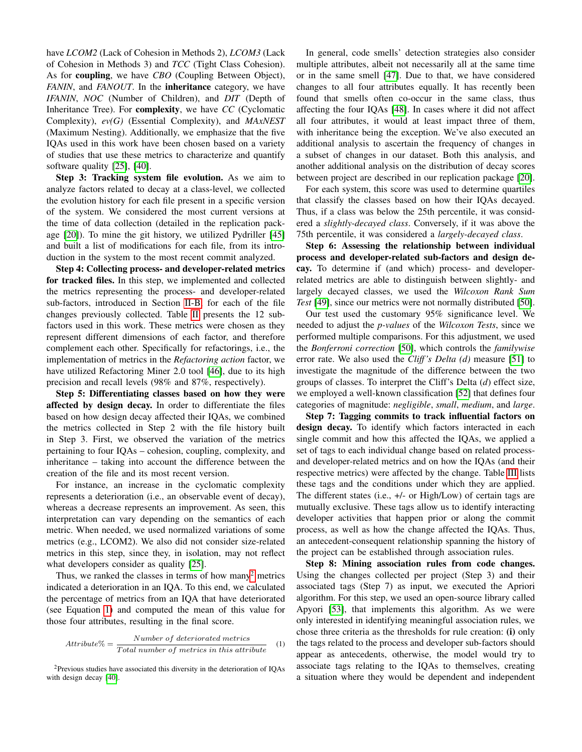have *LCOM2* (Lack of Cohesion in Methods 2), *LCOM3* (Lack of Cohesion in Methods 3) and *TCC* (Tight Class Cohesion). As for coupling, we have *CBO* (Coupling Between Object), *FANIN*, and *FANOUT*. In the inheritance category, we have *IFANIN*, *NOC* (Number of Children), and *DIT* (Depth of Inheritance Tree). For complexity, we have *CC* (Cyclomatic Complexity), *ev(G)* (Essential Complexity), and *MAxNEST* (Maximum Nesting). Additionally, we emphasize that the five IQAs used in this work have been chosen based on a variety of studies that use these metrics to characterize and quantify software quality [\[25\]](#page-10-24), [\[40\]](#page-10-39).

Step 3: Tracking system file evolution. As we aim to analyze factors related to decay at a class-level, we collected the evolution history for each file present in a specific version of the system. We considered the most current versions at the time of data collection (detailed in the replication package [\[20\]](#page-10-19)). To mine the git history, we utilized Pydriller [\[45\]](#page-10-41) and built a list of modifications for each file, from its introduction in the system to the most recent commit analyzed.

Step 4: Collecting process- and developer-related metrics for tracked files. In this step, we implemented and collected the metrics representing the process- and developer-related sub-factors, introduced in Section [II-B,](#page-1-0) for each of the file changes previously collected. Table [II](#page-4-0) presents the 12 subfactors used in this work. These metrics were chosen as they represent different dimensions of each factor, and therefore complement each other. Specifically for refactorings, i.e., the implementation of metrics in the *Refactoring action* factor, we have utilized Refactoring Miner 2.0 tool [\[46\]](#page-10-42), due to its high precision and recall levels (98% and 87%, respectively).

Step 5: Differentiating classes based on how they were affected by design decay. In order to differentiate the files based on how design decay affected their IQAs, we combined the metrics collected in Step 2 with the file history built in Step 3. First, we observed the variation of the metrics pertaining to four IQAs – cohesion, coupling, complexity, and inheritance – taking into account the difference between the creation of the file and its most recent version.

For instance, an increase in the cyclomatic complexity represents a deterioration (i.e., an observable event of decay), whereas a decrease represents an improvement. As seen, this interpretation can vary depending on the semantics of each metric. When needed, we used normalized variations of some metrics (e.g., LCOM2). We also did not consider size-related metrics in this step, since they, in isolation, may not reflect what developers consider as quality [\[25\]](#page-10-24).

Thus, we ranked the classes in terms of how many<sup>[2](#page-3-0)</sup> metrics indicated a deterioration in an IQA. To this end, we calculated the percentage of metrics from an IQA that have deteriorated (see Equation [1\)](#page-3-1) and computed the mean of this value for those four attributes, resulting in the final score.

<span id="page-3-1"></span>
$$
Attribute\% = \frac{Number\ of\ deteriorated\ metrics}{Total\ number\ of\ metrics\ in\ this\ attribute} \quad (1)
$$

<span id="page-3-0"></span><sup>2</sup>Previous studies have associated this diversity in the deterioration of IQAs with design decay [\[40\]](#page-10-39).

In general, code smells' detection strategies also consider multiple attributes, albeit not necessarily all at the same time or in the same smell [\[47\]](#page-10-43). Due to that, we have considered changes to all four attributes equally. It has recently been found that smells often co-occur in the same class, thus affecting the four IQAs [\[48\]](#page-11-0). In cases where it did not affect all four attributes, it would at least impact three of them, with inheritance being the exception. We've also executed an additional analysis to ascertain the frequency of changes in a subset of changes in our dataset. Both this analysis, and another additional analysis on the distribution of decay scores between project are described in our replication package [\[20\]](#page-10-19).

For each system, this score was used to determine quartiles that classify the classes based on how their IQAs decayed. Thus, if a class was below the 25th percentile, it was considered a *slightly-decayed class*. Conversely, if it was above the 75th percentile, it was considered a *largely-decayed class*.

Step 6: Assessing the relationship between individual process and developer-related sub-factors and design decay. To determine if (and which) process- and developerrelated metrics are able to distinguish between slightly- and largely decayed classes, we used the *Wilcoxon Rank Sum Test* [\[49\]](#page-11-1), since our metrics were not normally distributed [\[50\]](#page-11-2).

Our test used the customary 95% significance level. We needed to adjust the *p-values* of the *Wilcoxon Tests*, since we performed multiple comparisons. For this adjustment, we used the *Bonferroni correction* [\[50\]](#page-11-2), which controls the *familywise* error rate. We also used the *Cliff's Delta (d)* measure [\[51\]](#page-11-3) to investigate the magnitude of the difference between the two groups of classes. To interpret the Cliff's Delta (*d*) effect size, we employed a well-known classification [\[52\]](#page-11-4) that defines four categories of magnitude: *negligible*, *small*, *medium*, and *large*.

Step 7: Tagging commits to track influential factors on design decay. To identify which factors interacted in each single commit and how this affected the IQAs, we applied a set of tags to each individual change based on related processand developer-related metrics and on how the IQAs (and their respective metrics) were affected by the change. Table [III](#page-4-1) lists these tags and the conditions under which they are applied. The different states (i.e., +/- or High/Low) of certain tags are mutually exclusive. These tags allow us to identify interacting developer activities that happen prior or along the commit process, as well as how the change affected the IQAs. Thus, an antecedent-consequent relationship spanning the history of the project can be established through association rules.

Step 8: Mining association rules from code changes. Using the changes collected per project (Step 3) and their associated tags (Step 7) as input, we executed the Apriori algorithm. For this step, we used an open-source library called Apyori [\[53\]](#page-11-5), that implements this algorithm. As we were only interested in identifying meaningful association rules, we chose three criteria as the thresholds for rule creation: (i) only the tags related to the process and developer sub-factors should appear as antecedents, otherwise, the model would try to associate tags relating to the IQAs to themselves, creating a situation where they would be dependent and independent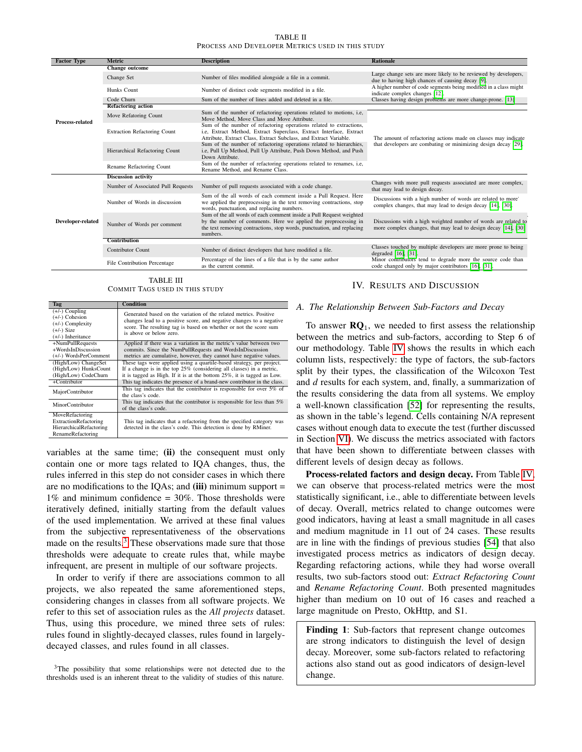| TABLE II |  |                                                  |  |  |  |  |  |  |
|----------|--|--------------------------------------------------|--|--|--|--|--|--|
|          |  | PROCESS AND DEVELOPER METRICS USED IN THIS STUDY |  |  |  |  |  |  |

<span id="page-4-0"></span>

| <b>Factor Type</b>     | <b>Metric</b>                       | <b>Description</b>                                                                                                                                                                                                           | <b>Rationale</b>                                                                                                                  |  |  |
|------------------------|-------------------------------------|------------------------------------------------------------------------------------------------------------------------------------------------------------------------------------------------------------------------------|-----------------------------------------------------------------------------------------------------------------------------------|--|--|
|                        | <b>Change outcome</b>               |                                                                                                                                                                                                                              |                                                                                                                                   |  |  |
|                        | Change Set                          | Number of files modified alongside a file in a commit.                                                                                                                                                                       | Large change sets are more likely to be reviewed by developers,<br>due to having high chances of causing decay [9].               |  |  |
|                        | Hunks Count                         | Number of distinct code segments modified in a file.                                                                                                                                                                         | A higher number of code segments being modified in a class might<br>indicate complex changes [12].                                |  |  |
|                        | Code Churn                          | Sum of the number of lines added and deleted in a file.                                                                                                                                                                      | Classes having design problems are more change-prone. [13]                                                                        |  |  |
|                        | <b>Refactoring action</b>           |                                                                                                                                                                                                                              |                                                                                                                                   |  |  |
| <b>Process-related</b> | Move Refatoring Count               | Sum of the number of refactoring operations related to motions, i.e.<br>Move Method, Move Class and Move Attribute.                                                                                                          |                                                                                                                                   |  |  |
|                        | <b>Extraction Refactoring Count</b> | Sum of the number of refactoring operations related to extractions,<br>i.e, Extract Method, Extract Superclass, Extract Interface, Extract<br>Attribute, Extract Class, Extract Subclass, and Extract Variable.              | The amount of refactoring actions made on classes may indicate<br>that developers are combating or minimizing design decay [29].  |  |  |
|                        | Hierarchical Refactoring Count      | Sum of the number of refactoring operations related to hierarchies,<br>i.e, Pull Up Method, Pull Up Attribute, Push Down Method, and Push<br>Down Attribute.                                                                 |                                                                                                                                   |  |  |
|                        | Rename Refactoring Count            | Sum of the number of refactoring operations related to renames, i.e,<br>Rename Method, and Rename Class.                                                                                                                     |                                                                                                                                   |  |  |
|                        | <b>Discussion activity</b>          |                                                                                                                                                                                                                              |                                                                                                                                   |  |  |
|                        | Number of Associated Pull Requests  | Number of pull requests associated with a code change.                                                                                                                                                                       | Changes with more pull requests associated are more complex,<br>that may lead to design decay.                                    |  |  |
|                        | Number of Words in discussion       | Sum of the all words of each comment inside a Pull Request. Here<br>we applied the preprocessing in the text removing contractions, stop<br>words, punctuation, and replacing numbers.                                       | Discussions with a high number of words are related to more<br>complex changes, that may lead to design decay [14], [30].         |  |  |
| Developer-related      | Number of Words per comment         | Sum of the all words of each comment inside a Pull Request weighted<br>by the number of comments. Here we applied the preprocessing in<br>the text removing contractions, stop words, punctuation, and replacing<br>numbers. | Discussions with a high weighted number of words are related to<br>more complex changes, that may lead to design decay [14], [30] |  |  |
|                        | <b>Contribution</b>                 |                                                                                                                                                                                                                              |                                                                                                                                   |  |  |
|                        | <b>Contributor Count</b>            | Number of distinct developers that have modified a file.                                                                                                                                                                     | Classes touched by multiple developers are more prone to being<br>degraded $[16]$ , $[31]$ .                                      |  |  |
|                        | File Contribution Percentage        | Percentage of the lines of a file that is by the same author<br>as the current commit.                                                                                                                                       | Minor contributors tend to degrade more the source code than<br>code changed only by major contributors [16], [31].               |  |  |

TABLE III COMMIT TAGS USED IN THIS STUDY

<span id="page-4-1"></span>

| Tag                                                                                               | <b>Condition</b>                                                                                                                                                                                                                          |
|---------------------------------------------------------------------------------------------------|-------------------------------------------------------------------------------------------------------------------------------------------------------------------------------------------------------------------------------------------|
| $(+/-)$ Coupling<br>$(+/-)$ Cohesion<br>$(+/-)$ Complexity<br>$(+/-)$ Size<br>$(+/-)$ Inheritance | Generated based on the variation of the related metrics. Positive<br>changes lead to a positive score, and negative changes to a negative<br>score. The resulting tag is based on whether or not the score sum<br>is above or below zero. |
| +NumPullRequests<br>+WordsInDiscussion                                                            | Applied if there was a variation in the metric's value between two                                                                                                                                                                        |
| (+/-) WordsPerComment                                                                             | commits. Since the NumPullRequests and WordsInDiscussion<br>metrics are cumulative, however, they cannot have negative values.                                                                                                            |
| (High/Low) ChangeSet                                                                              | These tags were applied using a quartile-based strategy, per project.                                                                                                                                                                     |
| (High/Low) HunksCount                                                                             | If a change is in the top 25% (considering all classes) in a metric,                                                                                                                                                                      |
| (High/Low) CodeChurn                                                                              | it is tagged as High. If it is at the bottom 25%, it is tagged as Low.                                                                                                                                                                    |
| +Contributor                                                                                      | This tag indicates the presence of a brand-new contributor in the class.                                                                                                                                                                  |
| MajorContributor                                                                                  | This tag indicates that the contributor is responsible for over $5\%$ of<br>the class's code.                                                                                                                                             |
| MinorContributor                                                                                  | This tag indicates that the contributor is responsible for less than 5%<br>of the class's code.                                                                                                                                           |
| MoveRefactoring<br>ExtractionRefactoring<br>HierarchicalRefactoring<br>RenameRefactoring          | This tag indicates that a refactoring from the specified category was<br>detected in the class's code. This detection is done by RMiner.                                                                                                  |

variables at the same time; (ii) the consequent must only contain one or more tags related to IQA changes, thus, the rules inferred in this step do not consider cases in which there are no modifications to the IQAs; and  $(iii)$  minimum support  $=$  $1\%$  and minimum confidence = 30%. Those thresholds were iteratively defined, initially starting from the default values of the used implementation. We arrived at these final values from the subjective representativeness of the observations made on the results.<sup>[3](#page-4-2)</sup> These observations made sure that those thresholds were adequate to create rules that, while maybe infrequent, are present in multiple of our software projects.

In order to verify if there are associations common to all projects, we also repeated the same aforementioned steps, considering changes in classes from all software projects. We refer to this set of association rules as the *All projects* dataset. Thus, using this procedure, we mined three sets of rules: rules found in slightly-decayed classes, rules found in largelydecayed classes, and rules found in all classes.

<span id="page-4-2"></span><sup>3</sup>The possibility that some relationships were not detected due to the thresholds used is an inherent threat to the validity of studies of this nature.

#### IV. RESULTS AND DISCUSSION

#### *A. The Relationship Between Sub-Factors and Decay*

To answer  $\mathbf{R}\mathbf{O}_1$ , we needed to first assess the relationship between the metrics and sub-factors, according to Step 6 of our methodology. Table [IV](#page-5-0) shows the results in which each column lists, respectively: the type of factors, the sub-factors split by their types, the classification of the Wilcoxon Test and *d* results for each system, and, finally, a summarization of the results considering the data from all systems. We employ a well-known classification [\[52\]](#page-11-4) for representing the results, as shown in the table's legend. Cells containing N/A represent cases without enough data to execute the test (further discussed in Section [VI\)](#page-8-0). We discuss the metrics associated with factors that have been shown to differentiate between classes with different levels of design decay as follows.

Process-related factors and design decay. From Table [IV,](#page-5-0) we can observe that process-related metrics were the most statistically significant, i.e., able to differentiate between levels of decay. Overall, metrics related to change outcomes were good indicators, having at least a small magnitude in all cases and medium magnitude in 11 out of 24 cases. These results are in line with the findings of previous studies [\[54\]](#page-11-6) that also investigated process metrics as indicators of design decay. Regarding refactoring actions, while they had worse overall results, two sub-factors stood out: *Extract Refactoring Count* and *Rename Refactoring Count*. Both presented magnitudes higher than medium on 10 out of 16 cases and reached a large magnitude on Presto, OkHttp, and S1.

Finding 1: Sub-factors that represent change outcomes are strong indicators to distinguish the level of design decay. Moreover, some sub-factors related to refactoring actions also stand out as good indicators of design-level change.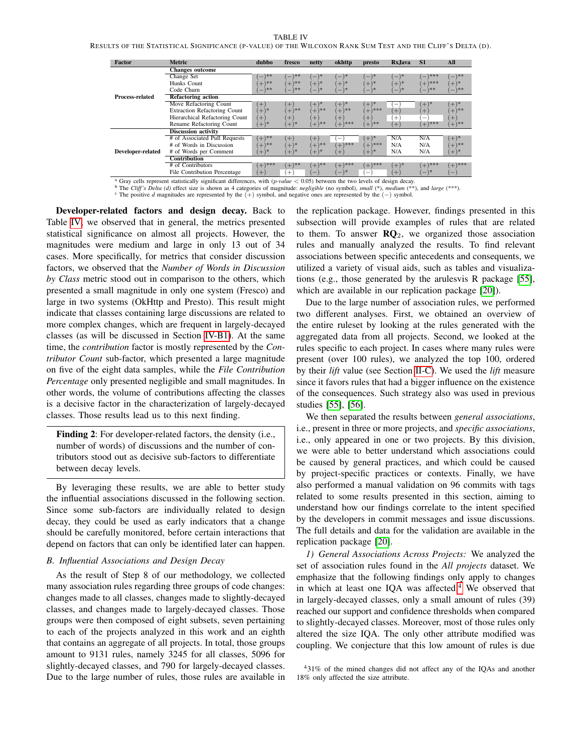#### TABLE IV

<span id="page-5-0"></span>RESULTS OF THE STATISTICAL SIGNIFICANCE (P-VALUE) OF THE WILCOXON RANK SUM TEST AND THE CLIFF'S DELTA (D).

| <b>Factor</b>          | <b>Metric</b>                       | dubbo     | fresco     | netty      | okhttp      | presto      | Rx, Java  | S <sub>1</sub>  | All        |
|------------------------|-------------------------------------|-----------|------------|------------|-------------|-------------|-----------|-----------------|------------|
|                        | <b>Changes outcome</b>              |           |            |            |             |             |           |                 |            |
|                        | Change Set                          | ) **<br>– | $(-)**$    | $-$ )*     | $-$ )*      |             |           | ) * * *         | )水米        |
|                        | Hunks Count                         | $(+)**$   | $(+)$ **   | $^{+})^*$  | $(+)$ *     | $^{(+)*}$   |           | $(+)$ ***       |            |
|                        | Code Churn                          | $-$ )**   | $ **$      | $-1*$      | $-$ )*      | $-$ )*      | $ *$      | $ **$           | $ **$      |
| <b>Process-related</b> | <b>Refactoring action</b>           |           |            |            |             |             |           |                 |            |
|                        | Move Refactoring Count              | $(+)$     |            | $^{(+)*}$  | $(+)$ *     | $(+)$ *     |           | $(+)^*$         | $(+)$ *    |
|                        | <b>Extraction Refactoring Count</b> | $(+)^*$   | $(+)^{**}$ | $(+)^{**}$ | $(+)^{**}$  | $(+)^{***}$ | $(+)$     | $^{+}$          | $(+)$ **   |
|                        | Hierarchical Refactoring Count      | $(+)$     | $^{+}$     | $^{+}$     | $^{+}$      | $^+$        | $^{+}$    | $\qquad \qquad$ | $(+)$      |
|                        | Rename Refactoring Count            | $(+)$ *   | $(+)^*$    | $(+)^{**}$ | $(+)^{***}$ | $(+)^{**}$  | $(+)$     | $(+)$ ***       | $(+)^{**}$ |
|                        | <b>Discussion activity</b>          |           |            |            |             |             |           |                 |            |
| Developer-related      | # of Associated Pull Requests       | $(+)$ **  | $(+)$      | $^+$       |             | $(+)$ *     | N/A       | N/A             | $(+)^*$    |
|                        | # of Words in Discussion            | $(+)$ **  | $(+)$ *    | $(+)^{**}$ | $(+)$ ***   | $(+)^{***}$ | N/A       | N/A             | $(+)$ **   |
|                        | # of Words per Comment              | $(+)^*$   | $(+)$ *    | $^{(*)}$   | $^{+}$      | $(+)$ *     | N/A       | N/A             | $(+)^*$    |
|                        | <b>Contribution</b>                 |           |            |            |             |             |           |                 |            |
|                        | # of Contributors                   | $(+)$ *** | $(+)$ **   | $(+)$ **   | $(+)$ ***   | $(+)$ ***   | $^{(+)*}$ | $(+)$ ***       | $(+)***$   |
|                        | File Contribution Percentage        | $^{+}$    | $^{+}$     |            | トポ<br>— 1   |             | $(+)$     | トキ              |            |

<sup>a</sup> Gray cells represent statistically significant differences, with  $(p-value < 0.05)$  between the two levels of design decay.<br><sup>b</sup> The *Cliff's Delta (d)* effect size is shown as 4 categories of magnitude: *negligible* (no symb

<sup>c</sup> The positive *d* magnitudes are represented by the (+) symbol, and negative ones are represented by the (−) symbol.

Developer-related factors and design decay. Back to Table [IV,](#page-5-0) we observed that in general, the metrics presented statistical significance on almost all projects. However, the magnitudes were medium and large in only 13 out of 34 cases. More specifically, for metrics that consider discussion factors, we observed that the *Number of Words in Discussion by Class* metric stood out in comparison to the others, which presented a small magnitude in only one system (Fresco) and large in two systems (OkHttp and Presto). This result might indicate that classes containing large discussions are related to more complex changes, which are frequent in largely-decayed classes (as will be discussed in Section [IV-B1\)](#page-5-1). At the same time, the *contribution* factor is mostly represented by the *Contributor Count* sub-factor, which presented a large magnitude on five of the eight data samples, while the *File Contribution Percentage* only presented negligible and small magnitudes. In other words, the volume of contributions affecting the classes is a decisive factor in the characterization of largely-decayed classes. Those results lead us to this next finding.

Finding 2: For developer-related factors, the density (i.e., number of words) of discussions and the number of contributors stood out as decisive sub-factors to differentiate between decay levels.

By leveraging these results, we are able to better study the influential associations discussed in the following section. Since some sub-factors are individually related to design decay, they could be used as early indicators that a change should be carefully monitored, before certain interactions that depend on factors that can only be identified later can happen.

#### *B. Influential Associations and Design Decay*

As the result of Step 8 of our methodology, we collected many association rules regarding three groups of code changes: changes made to all classes, changes made to slightly-decayed classes, and changes made to largely-decayed classes. Those groups were then composed of eight subsets, seven pertaining to each of the projects analyzed in this work and an eighth that contains an aggregate of all projects. In total, those groups amount to 9131 rules, namely 3245 for all classes, 5096 for slightly-decayed classes, and 790 for largely-decayed classes. Due to the large number of rules, those rules are available in

the replication package. However, findings presented in this subsection will provide examples of rules that are related to them. To answer  $\mathbb{R}Q_2$ , we organized those association rules and manually analyzed the results. To find relevant associations between specific antecedents and consequents, we utilized a variety of visual aids, such as tables and visualizations (e.g., those generated by the arulesvis R package [\[55\]](#page-11-7), which are available in our replication package [\[20\]](#page-10-19)).

Due to the large number of association rules, we performed two different analyses. First, we obtained an overview of the entire ruleset by looking at the rules generated with the aggregated data from all projects. Second, we looked at the rules specific to each project. In cases where many rules were present (over 100 rules), we analyzed the top 100, ordered by their *lift* value (see Section [II-C\)](#page-2-3). We used the *lift* measure since it favors rules that had a bigger influence on the existence of the consequences. Such strategy also was used in previous studies [\[55\]](#page-11-7), [\[56\]](#page-11-8).

We then separated the results between *general associations*, i.e., present in three or more projects, and *specific associations*, i.e., only appeared in one or two projects. By this division, we were able to better understand which associations could be caused by general practices, and which could be caused by project-specific practices or contexts. Finally, we have also performed a manual validation on 96 commits with tags related to some results presented in this section, aiming to understand how our findings correlate to the intent specified by the developers in commit messages and issue discussions. The full details and data for the validation are available in the replication package [\[20\]](#page-10-19).

<span id="page-5-1"></span>*1) General Associations Across Projects:* We analyzed the set of association rules found in the *All projects* dataset. We emphasize that the following findings only apply to changes in which at least one IQA was affected.<sup>[4](#page-5-2)</sup> We observed that in largely-decayed classes, only a small amount of rules (39) reached our support and confidence thresholds when compared to slightly-decayed classes. Moreover, most of those rules only altered the size IQA. The only other attribute modified was coupling. We conjecture that this low amount of rules is due

<span id="page-5-2"></span><sup>4</sup>31% of the mined changes did not affect any of the IQAs and another 18% only affected the size attribute.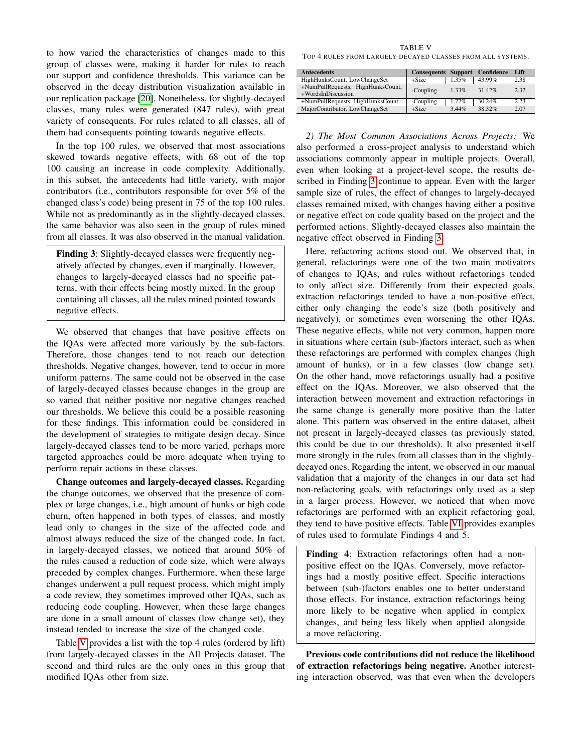to how varied the characteristics of changes made to this group of classes were, making it harder for rules to reach our support and confidence thresholds. This variance can be observed in the decay distribution visualization available in our replication package [\[20\]](#page-10-19). Nonetheless, for slightly-decayed classes, many rules were generated (847 rules), with great variety of consequents. For rules related to all classes, all of them had consequents pointing towards negative effects.

In the top 100 rules, we observed that most associations skewed towards negative effects, with 68 out of the top 100 causing an increase in code complexity. Additionally, in this subset, the antecedents had little variety, with major contributors (i.e., contributors responsible for over 5% of the changed class's code) being present in 75 of the top 100 rules. While not as predominantly as in the slightly-decayed classes, the same behavior was also seen in the group of rules mined from all classes. It was also observed in the manual validation.

<span id="page-6-1"></span>Finding 3: Slightly-decayed classes were frequently negatively affected by changes, even if marginally. However, changes to largely-decayed classes had no specific patterns, with their effects being mostly mixed. In the group containing all classes, all the rules mined pointed towards negative effects.

We observed that changes that have positive effects on the IQAs were affected more variously by the sub-factors. Therefore, those changes tend to not reach our detection thresholds. Negative changes, however, tend to occur in more uniform patterns. The same could not be observed in the case of largely-decayed classes because changes in the group are so varied that neither positive nor negative changes reached our thresholds. We believe this could be a possible reasoning for these findings. This information could be considered in the development of strategies to mitigate design decay. Since largely-decayed classes tend to be more varied, perhaps more targeted approaches could be more adequate when trying to perform repair actions in these classes.

Change outcomes and largely-decayed classes. Regarding the change outcomes, we observed that the presence of complex or large changes, i.e., high amount of hunks or high code churn, often happened in both types of classes, and mostly lead only to changes in the size of the affected code and almost always reduced the size of the changed code. In fact, in largely-decayed classes, we noticed that around 50% of the rules caused a reduction of code size, which were always preceded by complex changes. Furthermore, when these large changes underwent a pull request process, which might imply a code review, they sometimes improved other IQAs, such as reducing code coupling. However, when these large changes are done in a small amount of classes (low change set), they instead tended to increase the size of the changed code.

Table [V](#page-6-0) provides a list with the top 4 rules (ordered by lift) from largely-decayed classes in the All Projects dataset. The second and third rules are the only ones in this group that modified IQAs other from size.

<span id="page-6-0"></span>TABLE V TOP 4 RULES FROM LARGELY-DECAYED CLASSES FROM ALL SYSTEMS.

| <b>Antecedents</b>                                      | <b>Consequents</b> | <b>Support</b> | <b>Confidence</b> | Lift |
|---------------------------------------------------------|--------------------|----------------|-------------------|------|
| HighHunksCount, LowChangeSet                            | +Size              | 1.35%          | 43.99%            | 2.38 |
| +NumPullRequests, HighHunksCount,<br>+WordsInDiscussion | -Coupling          | $1.33\%$       | 31.42%            | 2.32 |
| +NumPullRequests, HighHunksCount                        | -Coupling          | $1.77\%$       | 30.24%            | 2.23 |
| MajorContributor, LowChangeSet                          | $+Size$            | $3.44\%$       | 38.32%            | 2.07 |

*2) The Most Common Associations Across Projects:* We also performed a cross-project analysis to understand which associations commonly appear in multiple projects. Overall, even when looking at a project-level scope, the results described in Finding [3](#page-6-1) continue to appear. Even with the larger sample size of rules, the effect of changes to largely-decayed classes remained mixed, with changes having either a positive or negative effect on code quality based on the project and the performed actions. Slightly-decayed classes also maintain the negative effect observed in Finding [3.](#page-6-1)

Here, refactoring actions stood out. We observed that, in general, refactorings were one of the two main motivators of changes to IQAs, and rules without refactorings tended to only affect size. Differently from their expected goals, extraction refactorings tended to have a non-positive effect, either only changing the code's size (both positively and negatively), or sometimes even worsening the other IQAs. These negative effects, while not very common, happen more in situations where certain (sub-)factors interact, such as when these refactorings are performed with complex changes (high amount of hunks), or in a few classes (low change set). On the other hand, move refactorings usually had a positive effect on the IQAs. Moreover, we also observed that the interaction between movement and extraction refactorings in the same change is generally more positive than the latter alone. This pattern was observed in the entire dataset, albeit not present in largely-decayed classes (as previously stated, this could be due to our thresholds). It also presented itself more strongly in the rules from all classes than in the slightlydecayed ones. Regarding the intent, we observed in our manual validation that a majority of the changes in our data set had non-refactoring goals, with refactorings only used as a step in a larger process. However, we noticed that when move refactorings are performed with an explicit refactoring goal, they tend to have positive effects. Table [VI](#page-7-0) provides examples of rules used to formulate Findings 4 and 5.

Finding 4: Extraction refactorings often had a nonpositive effect on the IQAs. Conversely, move refactorings had a mostly positive effect. Specific interactions between (sub-)factors enables one to better understand those effects. For instance, extraction refactorings being more likely to be negative when applied in complex changes, and being less likely when applied alongside a move refactoring.

Previous code contributions did not reduce the likelihood of extraction refactorings being negative. Another interesting interaction observed, was that even when the developers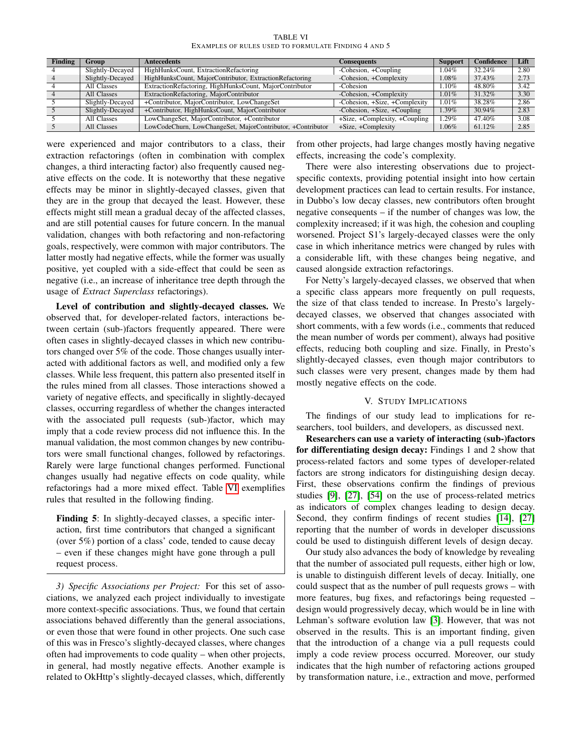TABLE VI EXAMPLES OF RULES USED TO FORMULATE FINDING 4 AND 5

<span id="page-7-0"></span>

| Finding | <b>Group</b>     | <b>Antecedents</b>                                         | <b>Consequents</b>                      | <b>Support</b> | Confidence | Lift |
|---------|------------------|------------------------------------------------------------|-----------------------------------------|----------------|------------|------|
|         | Slightly-Decayed | HighHunksCount, ExtractionRefactoring                      | -Cohesion, +Coupling                    | 1.04%          | 32.24%     | 2.80 |
|         | Slightly-Decayed | HighHunksCount, MajorContributor, ExtractionRefactoring    | -Cohesion, +Complexity                  | 1.08%          | 37.43%     | 2.73 |
|         | All Classes      | ExtractionRefactoring, HighHunksCount, MajorContributor    | -Cohesion                               | .10%           | 48.80%     | 3.42 |
|         | All Classes      | ExtractionRefactoring, MajorContributor                    | -Cohesion, +Complexity                  | 1.01%          | 31.32%     | 3.30 |
|         | Slightly-Decayed | +Contributor, MajorContributor, LowChangeSet               | -Cohesion, +Size, +Complexity           | 1.01%          | 38.28%     | 2.86 |
|         | Slightly-Decayed | +Contributor, HighHunksCount, MajorContributor             | -Cohesion, +Size, +Coupling             | $1.39\%$       | 30.94%     | 2.83 |
|         | All Classes      | LowChangeSet, MajorContributor, +Contributor               | $+Size$ , $+ Complexity$ , $+ Coupling$ | .29%           | 47.40%     | 3.08 |
|         | All Classes      | LowCodeChurn, LowChangeSet, MajorContributor, +Contributor | +Size, +Complexity                      | 1.06%          | 61.12%     | 2.85 |

were experienced and major contributors to a class, their extraction refactorings (often in combination with complex changes, a third interacting factor) also frequently caused negative effects on the code. It is noteworthy that these negative effects may be minor in slightly-decayed classes, given that they are in the group that decayed the least. However, these effects might still mean a gradual decay of the affected classes, and are still potential causes for future concern. In the manual validation, changes with both refactoring and non-refactoring goals, respectively, were common with major contributors. The latter mostly had negative effects, while the former was usually positive, yet coupled with a side-effect that could be seen as negative (i.e., an increase of inheritance tree depth through the usage of *Extract Superclass* refactorings).

Level of contribution and slightly-decayed classes. We observed that, for developer-related factors, interactions between certain (sub-)factors frequently appeared. There were often cases in slightly-decayed classes in which new contributors changed over 5% of the code. Those changes usually interacted with additional factors as well, and modified only a few classes. While less frequent, this pattern also presented itself in the rules mined from all classes. Those interactions showed a variety of negative effects, and specifically in slightly-decayed classes, occurring regardless of whether the changes interacted with the associated pull requests (sub-)factor, which may imply that a code review process did not influence this. In the manual validation, the most common changes by new contributors were small functional changes, followed by refactorings. Rarely were large functional changes performed. Functional changes usually had negative effects on code quality, while refactorings had a more mixed effect. Table [VI](#page-7-0) exemplifies rules that resulted in the following finding.

Finding 5: In slightly-decayed classes, a specific interaction, first time contributors that changed a significant (over 5%) portion of a class' code, tended to cause decay – even if these changes might have gone through a pull request process.

*3) Specific Associations per Project:* For this set of associations, we analyzed each project individually to investigate more context-specific associations. Thus, we found that certain associations behaved differently than the general associations, or even those that were found in other projects. One such case of this was in Fresco's slightly-decayed classes, where changes often had improvements to code quality – when other projects, in general, had mostly negative effects. Another example is related to OkHttp's slightly-decayed classes, which, differently from other projects, had large changes mostly having negative effects, increasing the code's complexity.

There were also interesting observations due to projectspecific contexts, providing potential insight into how certain development practices can lead to certain results. For instance, in Dubbo's low decay classes, new contributors often brought negative consequents – if the number of changes was low, the complexity increased; if it was high, the cohesion and coupling worsened. Project S1's largely-decayed classes were the only case in which inheritance metrics were changed by rules with a considerable lift, with these changes being negative, and caused alongside extraction refactorings.

For Netty's largely-decayed classes, we observed that when a specific class appears more frequently on pull requests, the size of that class tended to increase. In Presto's largelydecayed classes, we observed that changes associated with short comments, with a few words (i.e., comments that reduced the mean number of words per comment), always had positive effects, reducing both coupling and size. Finally, in Presto's slightly-decayed classes, even though major contributors to such classes were very present, changes made by them had mostly negative effects on the code.

#### V. STUDY IMPLICATIONS

The findings of our study lead to implications for researchers, tool builders, and developers, as discussed next.

Researchers can use a variety of interacting (sub-)factors for differentiating design decay: Findings 1 and 2 show that process-related factors and some types of developer-related factors are strong indicators for distinguishing design decay. First, these observations confirm the findings of previous studies [\[9\]](#page-10-8), [\[27\]](#page-10-26), [\[54\]](#page-11-6) on the use of process-related metrics as indicators of complex changes leading to design decay. Second, they confirm findings of recent studies [\[14\]](#page-10-13), [\[27\]](#page-10-26) reporting that the number of words in developer discussions could be used to distinguish different levels of design decay.

Our study also advances the body of knowledge by revealing that the number of associated pull requests, either high or low, is unable to distinguish different levels of decay. Initially, one could suspect that as the number of pull requests grows – with more features, bug fixes, and refactorings being requested – design would progressively decay, which would be in line with Lehman's software evolution law [\[3\]](#page-10-2). However, that was not observed in the results. This is an important finding, given that the introduction of a change via a pull requests could imply a code review process occurred. Moreover, our study indicates that the high number of refactoring actions grouped by transformation nature, i.e., extraction and move, performed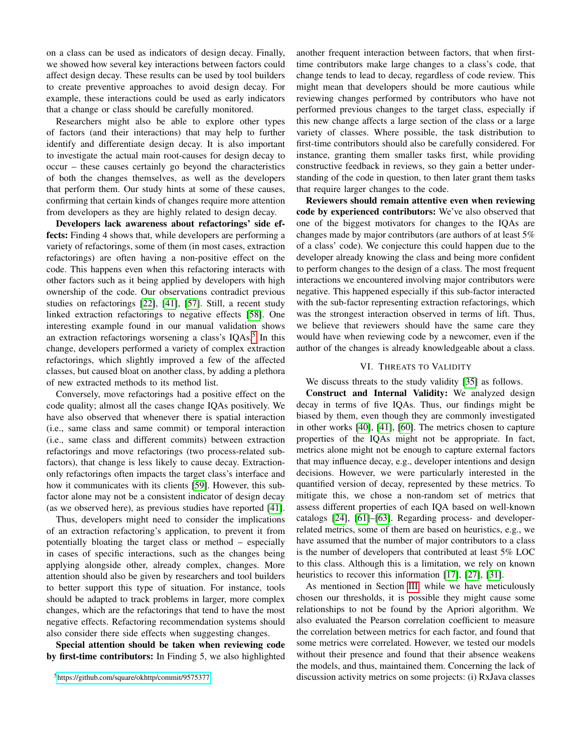on a class can be used as indicators of design decay. Finally, we showed how several key interactions between factors could affect design decay. These results can be used by tool builders to create preventive approaches to avoid design decay. For example, these interactions could be used as early indicators that a change or class should be carefully monitored.

Researchers might also be able to explore other types of factors (and their interactions) that may help to further identify and differentiate design decay. It is also important to investigate the actual main root-causes for design decay to occur – these causes certainly go beyond the characteristics of both the changes themselves, as well as the developers that perform them. Our study hints at some of these causes, confirming that certain kinds of changes require more attention from developers as they are highly related to design decay.

Developers lack awareness about refactorings' side effects: Finding 4 shows that, while developers are performing a variety of refactorings, some of them (in most cases, extraction refactorings) are often having a non-positive effect on the code. This happens even when this refactoring interacts with other factors such as it being applied by developers with high ownership of the code. Our observations contradict previous studies on refactorings [\[22\]](#page-10-21), [\[41\]](#page-10-44), [\[57\]](#page-11-9). Still, a recent study linked extraction refactorings to negative effects [\[58\]](#page-11-10). One interesting example found in our manual validation shows an extraction refactorings worsening a class's IQAs.<sup>[5](#page-8-1)</sup> In this change, developers performed a variety of complex extraction refactorings, which slightly improved a few of the affected classes, but caused bloat on another class, by adding a plethora of new extracted methods to its method list.

Conversely, move refactorings had a positive effect on the code quality; almost all the cases change IQAs positively. We have also observed that whenever there is spatial interaction (i.e., same class and same commit) or temporal interaction (i.e., same class and different commits) between extraction refactorings and move refactorings (two process-related subfactors), that change is less likely to cause decay. Extractiononly refactorings often impacts the target class's interface and how it communicates with its clients [\[59\]](#page-11-11). However, this subfactor alone may not be a consistent indicator of design decay (as we observed here), as previous studies have reported [\[41\]](#page-10-44).

Thus, developers might need to consider the implications of an extraction refactoring's application, to prevent it from potentially bloating the target class or method – especially in cases of specific interactions, such as the changes being applying alongside other, already complex, changes. More attention should also be given by researchers and tool builders to better support this type of situation. For instance, tools should be adapted to track problems in larger, more complex changes, which are the refactorings that tend to have the most negative effects. Refactoring recommendation systems should also consider there side effects when suggesting changes.

Special attention should be taken when reviewing code by first-time contributors: In Finding 5, we also highlighted another frequent interaction between factors, that when firsttime contributors make large changes to a class's code, that change tends to lead to decay, regardless of code review. This might mean that developers should be more cautious while reviewing changes performed by contributors who have not performed previous changes to the target class, especially if this new change affects a large section of the class or a large variety of classes. Where possible, the task distribution to first-time contributors should also be carefully considered. For instance, granting them smaller tasks first, while providing constructive feedback in reviews, so they gain a better understanding of the code in question, to then later grant them tasks that require larger changes to the code.

Reviewers should remain attentive even when reviewing code by experienced contributors: We've also observed that one of the biggest motivators for changes to the IQAs are changes made by major contributors (are authors of at least 5% of a class' code). We conjecture this could happen due to the developer already knowing the class and being more confident to perform changes to the design of a class. The most frequent interactions we encountered involving major contributors were negative. This happened especially if this sub-factor interacted with the sub-factor representing extraction refactorings, which was the strongest interaction observed in terms of lift. Thus, we believe that reviewers should have the same care they would have when reviewing code by a newcomer, even if the author of the changes is already knowledgeable about a class.

# VI. THREATS TO VALIDITY

<span id="page-8-0"></span>We discuss threats to the study validity [\[35\]](#page-10-34) as follows.

Construct and Internal Validity: We analyzed design decay in terms of five IQAs. Thus, our findings might be biased by them, even though they are commonly investigated in other works [\[40\]](#page-10-39), [\[41\]](#page-10-44), [\[60\]](#page-11-12). The metrics chosen to capture properties of the IQAs might not be appropriate. In fact, metrics alone might not be enough to capture external factors that may influence decay, e.g., developer intentions and design decisions. However, we were particularly interested in the quantified version of decay, represented by these metrics. To mitigate this, we chose a non-random set of metrics that assess different properties of each IQA based on well-known catalogs [\[24\]](#page-10-23), [\[61\]](#page-11-13)–[\[63\]](#page-11-14). Regarding process- and developerrelated metrics, some of them are based on heuristics, e.g., we have assumed that the number of major contributors to a class is the number of developers that contributed at least 5% LOC to this class. Although this is a limitation, we rely on known heuristics to recover this information [\[17\]](#page-10-16), [\[27\]](#page-10-26), [\[31\]](#page-10-30).

As mentioned in Section [III,](#page-2-4) while we have meticulously chosen our thresholds, it is possible they might cause some relationships to not be found by the Apriori algorithm. We also evaluated the Pearson correlation coefficient to measure the correlation between metrics for each factor, and found that some metrics were correlated. However, we tested our models without their presence and found that their absence weakens the models, and thus, maintained them. Concerning the lack of discussion activity metrics on some projects: (i) RxJava classes

<span id="page-8-1"></span><sup>5</sup><https://github.com/square/okhttp/commit/9575377>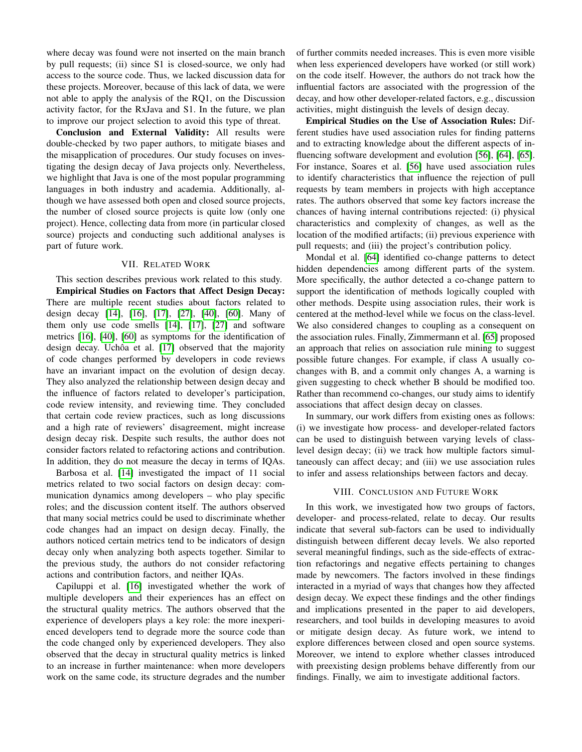where decay was found were not inserted on the main branch by pull requests; (ii) since S1 is closed-source, we only had access to the source code. Thus, we lacked discussion data for these projects. Moreover, because of this lack of data, we were not able to apply the analysis of the RQ1, on the Discussion activity factor, for the RxJava and S1. In the future, we plan to improve our project selection to avoid this type of threat.

Conclusion and External Validity: All results were double-checked by two paper authors, to mitigate biases and the misapplication of procedures. Our study focuses on investigating the design decay of Java projects only. Nevertheless, we highlight that Java is one of the most popular programming languages in both industry and academia. Additionally, although we have assessed both open and closed source projects, the number of closed source projects is quite low (only one project). Hence, collecting data from more (in particular closed source) projects and conducting such additional analyses is part of future work.

# VII. RELATED WORK

This section describes previous work related to this study. Empirical Studies on Factors that Affect Design Decay: There are multiple recent studies about factors related to design decay [\[14\]](#page-10-13), [\[16\]](#page-10-15), [\[17\]](#page-10-16), [\[27\]](#page-10-26), [\[40\]](#page-10-39), [\[60\]](#page-11-12). Many of them only use code smells [\[14\]](#page-10-13), [\[17\]](#page-10-16), [\[27\]](#page-10-26) and software metrics [\[16\]](#page-10-15), [\[40\]](#page-10-39), [\[60\]](#page-11-12) as symptoms for the identification of design decay. Uchôa et al.  $[17]$  observed that the majority of code changes performed by developers in code reviews have an invariant impact on the evolution of design decay. They also analyzed the relationship between design decay and the influence of factors related to developer's participation, code review intensity, and reviewing time. They concluded that certain code review practices, such as long discussions and a high rate of reviewers' disagreement, might increase design decay risk. Despite such results, the author does not consider factors related to refactoring actions and contribution. In addition, they do not measure the decay in terms of IQAs.

Barbosa et al. [\[14\]](#page-10-13) investigated the impact of 11 social metrics related to two social factors on design decay: communication dynamics among developers – who play specific roles; and the discussion content itself. The authors observed that many social metrics could be used to discriminate whether code changes had an impact on design decay. Finally, the authors noticed certain metrics tend to be indicators of design decay only when analyzing both aspects together. Similar to the previous study, the authors do not consider refactoring actions and contribution factors, and neither IQAs.

Capiluppi et al. [\[16\]](#page-10-15) investigated whether the work of multiple developers and their experiences has an effect on the structural quality metrics. The authors observed that the experience of developers plays a key role: the more inexperienced developers tend to degrade more the source code than the code changed only by experienced developers. They also observed that the decay in structural quality metrics is linked to an increase in further maintenance: when more developers work on the same code, its structure degrades and the number of further commits needed increases. This is even more visible when less experienced developers have worked (or still work) on the code itself. However, the authors do not track how the influential factors are associated with the progression of the decay, and how other developer-related factors, e.g., discussion activities, might distinguish the levels of design decay.

Empirical Studies on the Use of Association Rules: Different studies have used association rules for finding patterns and to extracting knowledge about the different aspects of in-fluencing software development and evolution [\[56\]](#page-11-8), [\[64\]](#page-11-15), [\[65\]](#page-11-16). For instance, Soares et al. [\[56\]](#page-11-8) have used association rules to identify characteristics that influence the rejection of pull requests by team members in projects with high acceptance rates. The authors observed that some key factors increase the chances of having internal contributions rejected: (i) physical characteristics and complexity of changes, as well as the location of the modified artifacts; (ii) previous experience with pull requests; and (iii) the project's contribution policy.

Mondal et al. [\[64\]](#page-11-15) identified co-change patterns to detect hidden dependencies among different parts of the system. More specifically, the author detected a co-change pattern to support the identification of methods logically coupled with other methods. Despite using association rules, their work is centered at the method-level while we focus on the class-level. We also considered changes to coupling as a consequent on the association rules. Finally, Zimmermann et al. [\[65\]](#page-11-16) proposed an approach that relies on association rule mining to suggest possible future changes. For example, if class A usually cochanges with B, and a commit only changes A, a warning is given suggesting to check whether B should be modified too. Rather than recommend co-changes, our study aims to identify associations that affect design decay on classes.

In summary, our work differs from existing ones as follows: (i) we investigate how process- and developer-related factors can be used to distinguish between varying levels of classlevel design decay; (ii) we track how multiple factors simultaneously can affect decay; and (iii) we use association rules to infer and assess relationships between factors and decay.

### VIII. CONCLUSION AND FUTURE WORK

In this work, we investigated how two groups of factors, developer- and process-related, relate to decay. Our results indicate that several sub-factors can be used to individually distinguish between different decay levels. We also reported several meaningful findings, such as the side-effects of extraction refactorings and negative effects pertaining to changes made by newcomers. The factors involved in these findings interacted in a myriad of ways that changes how they affected design decay. We expect these findings and the other findings and implications presented in the paper to aid developers, researchers, and tool builds in developing measures to avoid or mitigate design decay. As future work, we intend to explore differences between closed and open source systems. Moreover, we intend to explore whether classes introduced with preexisting design problems behave differently from our findings. Finally, we aim to investigate additional factors.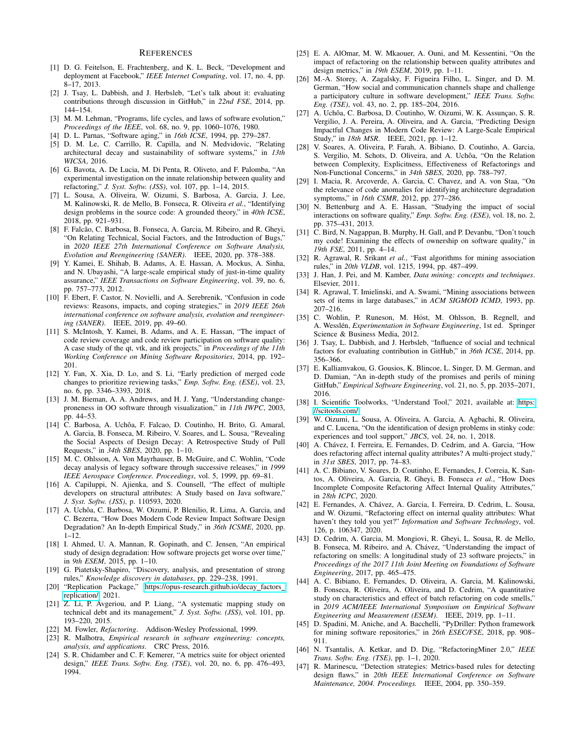#### **REFERENCES**

- <span id="page-10-0"></span>[1] D. G. Feitelson, E. Frachtenberg, and K. L. Beck, "Development and deployment at Facebook," *IEEE Internet Computing*, vol. 17, no. 4, pp. 8–17, 2013.
- <span id="page-10-1"></span>[2] J. Tsay, L. Dabbish, and J. Herbsleb, "Let's talk about it: evaluating contributions through discussion in GitHub," in *22nd FSE*, 2014, pp. 144–154.
- <span id="page-10-2"></span>[3] M. M. Lehman, "Programs, life cycles, and laws of software evolution," *Proceedings of the IEEE*, vol. 68, no. 9, pp. 1060–1076, 1980.
- <span id="page-10-3"></span>[4] D. L. Parnas, "Software aging," in *16th ICSE*, 1994, pp. 279–287.
- <span id="page-10-4"></span>[5] D. M. Le, C. Carrillo, R. Capilla, and N. Medvidovic, "Relating architectural decay and sustainability of software systems," in *13th WICSA*, 2016.
- <span id="page-10-5"></span>[6] G. Bavota, A. De Lucia, M. Di Penta, R. Oliveto, and F. Palomba, "An experimental investigation on the innate relationship between quality and refactoring," *J. Syst. Softw. (JSS)*, vol. 107, pp. 1–14, 2015.
- <span id="page-10-6"></span>[7] L. Sousa, A. Oliveira, W. Oizumi, S. Barbosa, A. Garcia, J. Lee, M. Kalinowski, R. de Mello, B. Fonseca, R. Oliveira *et al.*, "Identifying design problems in the source code: A grounded theory," in *40th ICSE*, 2018, pp. 921–931.
- <span id="page-10-7"></span>[8] F. Falcão, C. Barbosa, B. Fonseca, A. Garcia, M. Ribeiro, and R. Gheyi, "On Relating Technical, Social Factors, and the Introduction of Bugs," in *2020 IEEE 27th International Conference on Software Analysis, Evolution and Reengineering (SANER)*. IEEE, 2020, pp. 378–388.
- <span id="page-10-8"></span>[9] Y. Kamei, E. Shihab, B. Adams, A. E. Hassan, A. Mockus, A. Sinha, and N. Ubayashi, "A large-scale empirical study of just-in-time quality assurance," *IEEE Transactions on Software Engineering*, vol. 39, no. 6, pp. 757–773, 2012.
- <span id="page-10-9"></span>[10] F. Ebert, F. Castor, N. Novielli, and A. Serebrenik, "Confusion in code reviews: Reasons, impacts, and coping strategies," in *2019 IEEE 26th international conference on software analysis, evolution and reengineering (SANER)*. IEEE, 2019, pp. 49–60.
- <span id="page-10-10"></span>[11] S. McIntosh, Y. Kamei, B. Adams, and A. E. Hassan, "The impact of code review coverage and code review participation on software quality: A case study of the qt, vtk, and itk projects," in *Proceedings of the 11th Working Conference on Mining Software Repositories*, 2014, pp. 192– 201.
- <span id="page-10-11"></span>[12] Y. Fan, X. Xia, D. Lo, and S. Li, "Early prediction of merged code changes to prioritize reviewing tasks," *Emp. Softw. Eng. (ESE)*, vol. 23, no. 6, pp. 3346–3393, 2018.
- <span id="page-10-12"></span>[13] J. M. Bieman, A. A. Andrews, and H. J. Yang, "Understanding changeproneness in OO software through visualization," in *11th IWPC*, 2003, pp. 44–53.
- <span id="page-10-13"></span>[14] C. Barbosa, A. Uchôa, F. Falcao, D. Coutinho, H. Brito, G. Amaral, A. Garcia, B. Fonseca, M. Ribeiro, V. Soares, and L. Sousa, "Revealing the Social Aspects of Design Decay: A Retrospective Study of Pull Requests," in *34th SBES*, 2020, pp. 1–10.
- <span id="page-10-14"></span>[15] M. C. Ohlsson, A. Von Mayrhauser, B. McGuire, and C. Wohlin, "Code decay analysis of legacy software through successive releases," in *1999 IEEE Aerospace Conference. Proceedings*, vol. 5, 1999, pp. 69–81.
- <span id="page-10-15"></span>[16] A. Capiluppi, N. Ajienka, and S. Counsell, "The effect of multiple developers on structural attributes: A Study based on Java software," *J. Syst. Softw. (JSS)*, p. 110593, 2020.
- <span id="page-10-16"></span>[17] A. Uchôa, C. Barbosa, W. Oizumi, P. Blenilio, R. Lima, A. Garcia, and C. Bezerra, "How Does Modern Code Review Impact Software Design Degradation? An In-depth Empirical Study," in *36th ICSME*, 2020, pp. 1–12.
- <span id="page-10-17"></span>[18] I. Ahmed, U. A. Mannan, R. Gopinath, and C. Jensen, "An empirical study of design degradation: How software projects get worse over time," in *9th ESEM*, 2015, pp. 1–10.
- <span id="page-10-18"></span>[19] G. Piatetsky-Shapiro, "Discovery, analysis, and presentation of strong rules," *Knowledge discovery in databases*, pp. 229–238, 1991.
- <span id="page-10-19"></span>[20] "Replication Package," [https://opus-research.github.io/decay](https://opus-research.github.io/decay_factors_replication/)\_factors\_ [replication/,](https://opus-research.github.io/decay_factors_replication/) 2021.
- <span id="page-10-20"></span>[21] Z. Li, P. Avgeriou, and P. Liang, "A systematic mapping study on technical debt and its management," *J. Syst. Softw. (JSS)*, vol. 101, pp. 193–220, 2015.

<span id="page-10-22"></span>[23] R. Malhotra, *Empirical research in software engineering: concepts,*

- <span id="page-10-21"></span>[22] M. Fowler, *Refactoring*. Addison-Wesley Professional, 1999.
- <span id="page-10-23"></span>*analysis, and applications*. CRC Press, 2016. [24] S. R. Chidamber and C. F. Kemerer, "A metrics suite for object oriented design," *IEEE Trans. Softw. Eng. (TSE)*, vol. 20, no. 6, pp. 476–493, 1994.
- <span id="page-10-24"></span>[25] E. A. AlOmar, M. W. Mkaouer, A. Ouni, and M. Kessentini, "On the impact of refactoring on the relationship between quality attributes and design metrics," in *19th ESEM*, 2019, pp. 1–11.
- <span id="page-10-25"></span>[26] M.-A. Storey, A. Zagalsky, F. Figueira Filho, L. Singer, and D. M. German, "How social and communication channels shape and challenge a participatory culture in software development," *IEEE Trans. Softw. Eng. (TSE)*, vol. 43, no. 2, pp. 185–204, 2016.
- <span id="page-10-26"></span>[27] A. Uchôa, C. Barbosa, D. Coutinho, W. Oizumi, W. K. Assunçao, S. R. Vergilio, J. A. Pereira, A. Oliveira, and A. Garcia, "Predicting Design Impactful Changes in Modern Code Review: A Large-Scale Empirical Study," in *18th MSR*. IEEE, 2021, pp. 1–12.
- <span id="page-10-27"></span>[28] V. Soares, A. Oliveira, P. Farah, A. Bibiano, D. Coutinho, A. Garcia, S. Vergilio, M. Schots, D. Oliveira, and A. Uchôa, "On the Relation between Complexity, Explicitness, Effectiveness of Refactorings and Non-Functional Concerns," in *34th SBES*, 2020, pp. 788–797.
- <span id="page-10-28"></span>[29] I. Macia, R. Arcoverde, A. Garcia, C. Chavez, and A. von Staa, "On the relevance of code anomalies for identifying architecture degradation symptoms," in *16th CSMR*, 2012, pp. 277–286.
- <span id="page-10-29"></span>[30] N. Bettenburg and A. E. Hassan, "Studying the impact of social interactions on software quality," *Emp. Softw. Eng. (ESE)*, vol. 18, no. 2, pp. 375–431, 2013.
- <span id="page-10-30"></span>[31] C. Bird, N. Nagappan, B. Murphy, H. Gall, and P. Devanbu, "Don't touch my code! Examining the effects of ownership on software quality," in *19th FSE*, 2011, pp. 4–14.
- <span id="page-10-31"></span>[32] R. Agrawal, R. Srikant *et al.*, "Fast algorithms for mining association rules," in *20th VLDB*, vol. 1215, 1994, pp. 487–499.
- <span id="page-10-32"></span>[33] J. Han, J. Pei, and M. Kamber, *Data mining: concepts and techniques*. Elsevier, 2011.
- <span id="page-10-33"></span>[34] R. Agrawal, T. Imielinski, and A. Swami, "Mining associations between sets of items in large databases," in *ACM SIGMOD ICMD*, 1993, pp. 207–216.
- <span id="page-10-34"></span>[35] C. Wohlin, P. Runeson, M. Höst, M. Ohlsson, B. Regnell, and A. Wesslén, *Experimentation in Software Engineering*, 1st ed. Springer Science & Business Media, 2012.
- <span id="page-10-35"></span>[36] J. Tsay, L. Dabbish, and J. Herbsleb, "Influence of social and technical factors for evaluating contribution in GitHub," in *36th ICSE*, 2014, pp. 356–366.
- <span id="page-10-36"></span>[37] E. Kalliamvakou, G. Gousios, K. Blincoe, L. Singer, D. M. German, and D. Damian, "An in-depth study of the promises and perils of mining GitHub," *Empirical Software Engineering*, vol. 21, no. 5, pp. 2035–2071, 2016.
- <span id="page-10-37"></span>[38] I. Scientific Toolworks, "Understand Tool," 2021, available at: [https:](https://scitools.com/) [//scitools.com/.](https://scitools.com/)
- <span id="page-10-38"></span>[39] W. Oizumi, L. Sousa, A. Oliveira, A. Garcia, A. Agbachi, R. Oliveira, and C. Lucena, "On the identification of design problems in stinky code: experiences and tool support," *JBCS*, vol. 24, no. 1, 2018.
- <span id="page-10-39"></span>[40] A. Chávez, I. Ferreira, E. Fernandes, D. Cedrim, and A. Garcia, "How does refactoring affect internal quality attributes? A multi-project study," in *31st SBES*, 2017, pp. 74–83.
- <span id="page-10-44"></span>[41] A. C. Bibiano, V. Soares, D. Coutinho, E. Fernandes, J. Correia, K. Santos, A. Oliveira, A. Garcia, R. Gheyi, B. Fonseca *et al.*, "How Does Incomplete Composite Refactoring Affect Internal Quality Attributes," in *28th ICPC*, 2020.
- [42] E. Fernandes, A. Chávez, A. Garcia, I. Ferreira, D. Cedrim, L. Sousa, and W. Oizumi, "Refactoring effect on internal quality attributes: What haven't they told you yet?" *Information and Software Technology*, vol. 126, p. 106347, 2020.
- [43] D. Cedrim, A. Garcia, M. Mongiovi, R. Gheyi, L. Sousa, R. de Mello, B. Fonseca, M. Ribeiro, and A. Chávez, "Understanding the impact of refactoring on smells: A longitudinal study of 23 software projects," in *Proceedings of the 2017 11th Joint Meeting on Foundations of Software Engineering*, 2017, pp. 465–475.
- <span id="page-10-40"></span>[44] A. C. Bibiano, E. Fernandes, D. Oliveira, A. Garcia, M. Kalinowski, B. Fonseca, R. Oliveira, A. Oliveira, and D. Cedrim, "A quantitative study on characteristics and effect of batch refactoring on code smells," in *2019 ACM/IEEE International Symposium on Empirical Software Engineering and Measurement (ESEM)*. IEEE, 2019, pp. 1–11.
- <span id="page-10-41"></span>[45] D. Spadini, M. Aniche, and A. Bacchelli, "PyDriller: Python framework for mining software repositories," in *26th ESEC/FSE*, 2018, pp. 908– 911.
- <span id="page-10-42"></span>[46] N. Tsantalis, A. Ketkar, and D. Dig, "RefactoringMiner 2.0," *IEEE Trans. Softw. Eng. (TSE)*, pp. 1–1, 2020.
- <span id="page-10-43"></span>[47] R. Marinescu, "Detection strategies: Metrics-based rules for detecting design flaws," in *20th IEEE International Conference on Software Maintenance, 2004. Proceedings.* IEEE, 2004, pp. 350–359.